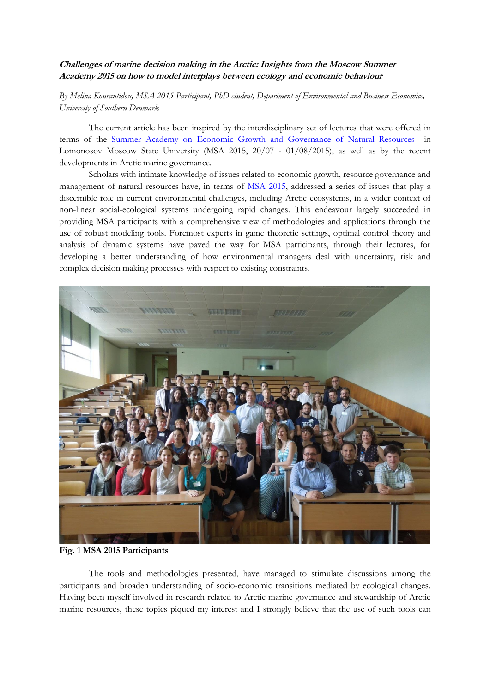## **Challenges of marine decision making in the Arctic: Insights from the Moscow Summer Academy 2015 on how to model interplays between ecology and economic behaviour**

*By Melina Kourantidou, MSA 2015 Participant, PhD student, Department of Environmental and Business Economics, University of Southern Denmark* 

The current article has been inspired by the interdisciplinary set of lectures that were offered in terms of the [Summer Academy on Economic Growth and Governance of Natural Resources](http://www.iiasa.ac.at/web/home/research/researchPrograms/AdvancedSystemsAnalysis/event/150720-MSA.html) in Lomonosov Moscow State University (MSA 2015, 20/07 - 01/08/2015), as well as by the recent developments in Arctic marine governance.

Scholars with intimate knowledge of issues related to economic growth, resource governance and management of natural resources have, in terms of [MSA 2015,](http://www.iiasa.ac.at/web/home/research/researchPrograms/AdvancedSystemsAnalysis/event/150720-MSA.html) addressed a series of issues that play a discernible role in current environmental challenges, including Arctic ecosystems, in a wider context of non-linear social-ecological systems undergoing rapid changes. This endeavour largely succeeded in providing MSA participants with a comprehensive view of methodologies and applications through the use of robust modeling tools. Foremost experts in game theoretic settings, optimal control theory and analysis of dynamic systems have paved the way for MSA participants, through their lectures, for developing a better understanding of how environmental managers deal with uncertainty, risk and complex decision making processes with respect to existing constraints.



**Fig. 1 MSA 2015 Participants**

The tools and methodologies presented, have managed to stimulate discussions among the participants and broaden understanding of socio-economic transitions mediated by ecological changes. Having been myself involved in research related to Arctic marine governance and stewardship of Arctic marine resources, these topics piqued my interest and I strongly believe that the use of such tools can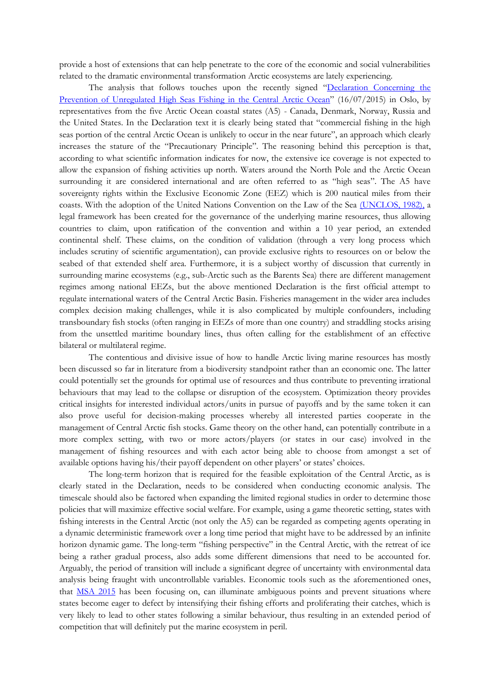provide a host of extensions that can help penetrate to the core of the economic and social vulnerabilities related to the dramatic environmental transformation Arctic ecosystems are lately experiencing.

The analysis that follows touches upon the recently signed "[Declaration Concerning the](https://www.regjeringen.no/globalassets/departementene/ud/vedlegg/folkerett/declaration-on-arctic-fisheries-16-july-2015.pdf)  [Prevention of Unregulated High Seas Fishing in the Central Arctic Ocean](https://www.regjeringen.no/globalassets/departementene/ud/vedlegg/folkerett/declaration-on-arctic-fisheries-16-july-2015.pdf)" (16/07/2015) in Oslo, by representatives from the five Arctic Ocean coastal states (A5) - Canada, Denmark, Norway, Russia and the United States. In the Declaration text it is clearly being stated that "commercial fishing in the high seas portion of the central Arctic Ocean is unlikely to occur in the near future", an approach which clearly increases the stature of the "Precautionary Principle". The reasoning behind this perception is that, according to what scientific information indicates for now, the extensive ice coverage is not expected to allow the expansion of fishing activities up north. Waters around the North Pole and the Arctic Ocean surrounding it are considered international and are often referred to as "high seas". The A5 have sovereignty rights within the Exclusive Economic Zone (EEZ) which is 200 nautical miles from their coasts. With the adoption of the United Nations Convention on the Law of the Sea [\(UNCLOS, 1982\),](http://www.un.org/Depts/los/convention_agreements/texts/unclos/unclos_e.pdf) a legal framework has been created for the governance of the underlying marine resources, thus allowing countries to claim, upon ratification of the convention and within a 10 year period, an extended continental shelf. These claims, on the condition of validation (through a very long process which includes scrutiny of scientific argumentation), can provide exclusive rights to resources on or below the seabed of that extended shelf area. Furthermore, it is a subject worthy of discussion that currently in surrounding marine ecosystems (e.g., sub-Arctic such as the Barents Sea) there are different management regimes among national EEZs, but the above mentioned Declaration is the first official attempt to regulate international waters of the Central Arctic Basin. Fisheries management in the wider area includes complex decision making challenges, while it is also complicated by multiple confounders, including transboundary fish stocks (often ranging in EEZs of more than one country) and straddling stocks arising from the unsettled maritime boundary lines, thus often calling for the establishment of an effective bilateral or multilateral regime.

The contentious and divisive issue of how to handle Arctic living marine resources has mostly been discussed so far in literature from a biodiversity standpoint rather than an economic one. The latter could potentially set the grounds for optimal use of resources and thus contribute to preventing irrational behaviours that may lead to the collapse or disruption of the ecosystem. Optimization theory provides critical insights for interested individual actors/units in pursue of payoffs and by the same token it can also prove useful for decision-making processes whereby all interested parties cooperate in the management of Central Arctic fish stocks. Game theory on the other hand, can potentially contribute in a more complex setting, with two or more actors/players (or states in our case) involved in the management of fishing resources and with each actor being able to choose from amongst a set of available options having his/their payoff dependent on other players' or states' choices.

The long-term horizon that is required for the feasible exploitation of the Central Arctic, as is clearly stated in the Declaration, needs to be considered when conducting economic analysis. The timescale should also be factored when expanding the limited regional studies in order to determine those policies that will maximize effective social welfare. For example, using a game theoretic setting, states with fishing interests in the Central Arctic (not only the A5) can be regarded as competing agents operating in a dynamic deterministic framework over a long time period that might have to be addressed by an infinite horizon dynamic game. The long-term "fishing perspective" in the Central Arctic, with the retreat of ice being a rather gradual process, also adds some different dimensions that need to be accounted for. Arguably, the period of transition will include a significant degree of uncertainty with environmental data analysis being fraught with uncontrollable variables. Economic tools such as the aforementioned ones, that [MSA 2015](http://www.iiasa.ac.at/web/home/research/researchPrograms/AdvancedSystemsAnalysis/event/150720-MSA.html) has been focusing on, can illuminate ambiguous points and prevent situations where states become eager to defect by intensifying their fishing efforts and proliferating their catches, which is very likely to lead to other states following a similar behaviour, thus resulting in an extended period of competition that will definitely put the marine ecosystem in peril.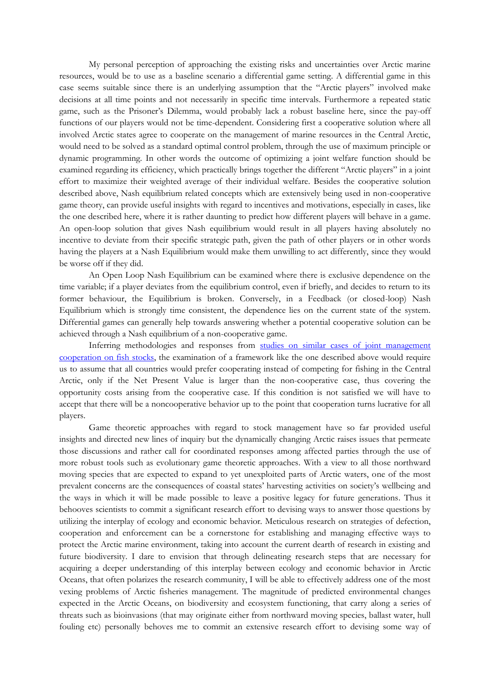My personal perception of approaching the existing risks and uncertainties over Arctic marine resources, would be to use as a baseline scenario a differential game setting. A differential game in this case seems suitable since there is an underlying assumption that the "Arctic players" involved make decisions at all time points and not necessarily in specific time intervals. Furthermore a repeated static game, such as the Prisoner's Dilemma, would probably lack a robust baseline here, since the pay-off functions of our players would not be time-dependent. Considering first a cooperative solution where all involved Arctic states agree to cooperate on the management of marine resources in the Central Arctic, would need to be solved as a standard optimal control problem, through the use of maximum principle or dynamic programming. In other words the outcome of optimizing a joint welfare function should be examined regarding its efficiency, which practically brings together the different "Arctic players" in a joint effort to maximize their weighted average of their individual welfare. Besides the cooperative solution described above, Nash equilibrium related concepts which are extensively being used in non-cooperative game theory, can provide useful insights with regard to incentives and motivations, especially in cases, like the one described here, where it is rather daunting to predict how different players will behave in a game. An open-loop solution that gives Nash equilibrium would result in all players having absolutely no incentive to deviate from their specific strategic path, given the path of other players or in other words having the players at a Nash Equilibrium would make them unwilling to act differently, since they would be worse off if they did.

An Open Loop Nash Equilibrium can be examined where there is exclusive dependence on the time variable; if a player deviates from the equilibrium control, even if briefly, and decides to return to its former behaviour, the Equilibrium is broken. Conversely, in a Feedback (or closed-loop) Nash Equilibrium which is strongly time consistent, the dependence lies on the current state of the system. Differential games can generally help towards answering whether a potential cooperative solution can be achieved through a Nash equilibrium of a non-cooperative game.

Inferring methodologies and responses from [studies on similar cases of joint management](http://brage.bibsys.no/xmlui/handle/11250/166330)  [cooperation on fish stocks,](http://brage.bibsys.no/xmlui/handle/11250/166330) the examination of a framework like the one described above would require us to assume that all countries would prefer cooperating instead of competing for fishing in the Central Arctic, only if the Net Present Value is larger than the non-cooperative case, thus covering the opportunity costs arising from the cooperative case. If this condition is not satisfied we will have to accept that there will be a noncooperative behavior up to the point that cooperation turns lucrative for all players.

Game theoretic approaches with regard to stock management have so far provided useful insights and directed new lines of inquiry but the dynamically changing Arctic raises issues that permeate those discussions and rather call for coordinated responses among affected parties through the use of more robust tools such as evolutionary game theoretic approaches. With a view to all those northward moving species that are expected to expand to yet unexploited parts of Arctic waters, one of the most prevalent concerns are the consequences of coastal states' harvesting activities on society's wellbeing and the ways in which it will be made possible to leave a positive legacy for future generations. Thus it behooves scientists to commit a significant research effort to devising ways to answer those questions by utilizing the interplay of ecology and economic behavior. Meticulous research on strategies of defection, cooperation and enforcement can be a cornerstone for establishing and managing effective ways to protect the Arctic marine environment, taking into account the current dearth of research in existing and future biodiversity. I dare to envision that through delineating research steps that are necessary for acquiring a deeper understanding of this interplay between ecology and economic behavior in Arctic Oceans, that often polarizes the research community, I will be able to effectively address one of the most vexing problems of Arctic fisheries management. The magnitude of predicted environmental changes expected in the Arctic Oceans, on biodiversity and ecosystem functioning, that carry along a series of threats such as bioinvasions (that may originate either from northward moving species, ballast water, hull fouling etc) personally behoves me to commit an extensive research effort to devising some way of